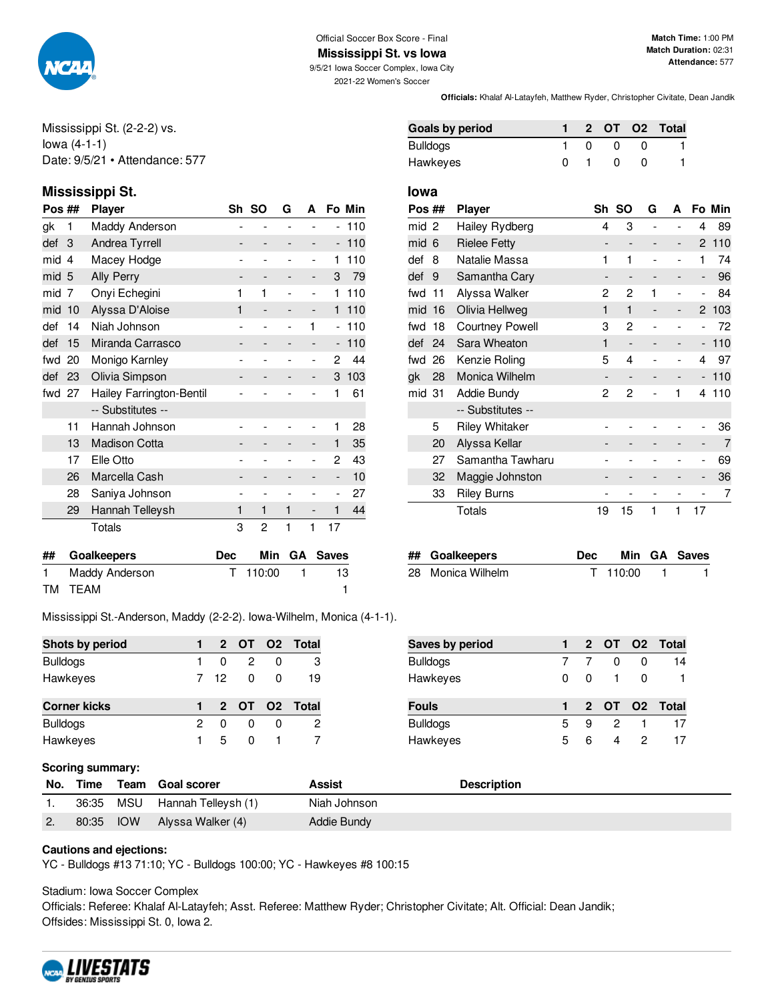

### Official Soccer Box Score - Final

**Mississippi St. vs Iowa**

9/5/21 Iowa Soccer Complex, Iowa City

**Match Time:** 1:00 PM **Match Duration:** 02:31 **Attendance:** 577

2021-22 Women's Soccer

**Officials:** Khalaf Al-Latayfeh, Matthew Ryder, Christopher Civitate, Dean Jandik

**Goals by period 1 2 OT O2 Total** Bulldogs 1 0 0 0 1 Hawkeyes 0 1 0 0 1

Mississippi St. (2-2-2) vs. Iowa (4-1-1) Date: 9/5/21 • Attendance: 577

### **Mississippi St. Iowa**

| Pos ## |    | Player                   |   | Sh SO | G | A |                          | Fo Min |
|--------|----|--------------------------|---|-------|---|---|--------------------------|--------|
| gk     | 1  | Maddy Anderson           |   |       |   |   | -                        | 110    |
| def    | 3  | Andrea Tyrrell           |   |       |   |   | -                        | 110    |
| mid    | 4  | Macey Hodge              |   |       |   |   | 1                        | 110    |
| mid    | -5 | Ally Perry               |   |       |   |   | 3                        | 79     |
| mid    | 7  | Onyi Echegini            | 1 | 1     |   |   | 1                        | 110    |
| mid    | 10 | Alyssa D'Aloise          | 1 |       |   | - | 1                        | 110    |
| def    | 14 | Niah Johnson             |   |       |   | 1 | ۰                        | 110    |
| def    | 15 | Miranda Carrasco         |   |       |   |   | -                        | 110    |
| fwd    | 20 | Monigo Karnley           |   |       |   |   | 2                        | 44     |
| def    | 23 | Olivia Simpson           |   |       |   |   | 3                        | 103    |
| fwd    | 27 | Hailey Farrington-Bentil |   |       |   |   | 1                        | 61     |
|        |    | -- Substitutes --        |   |       |   |   |                          |        |
|        | 11 | Hannah Johnson           |   |       |   |   | 1                        | 28     |
|        | 13 | <b>Madison Cotta</b>     |   |       |   | - | $\mathbf{1}$             | 35     |
|        | 17 | Elle Otto                |   |       |   |   | 2                        | 43     |
|        | 26 | Marcella Cash            |   |       |   | - | $\overline{\phantom{m}}$ | 10     |
|        | 28 | Saniya Johnson           |   |       |   |   | ۰                        | 27     |
|        | 29 | Hannah Telleysh          | 1 | 1     | 1 |   | 1                        | 44     |
|        |    | Totals                   | 3 | 2     | 1 | 1 | 17                       |        |

| mid 6  |    | <b>Rielee Fetty</b>    |    |                          |   |   |                              | 2 110  |
|--------|----|------------------------|----|--------------------------|---|---|------------------------------|--------|
| def    | 8  | Natalie Massa          | 1  | 1                        |   |   | 1                            | 74     |
| def    | -9 | Samantha Cary          |    |                          |   |   | $\overline{\phantom{m}}$     | 96     |
| fwd 11 |    | Alyssa Walker          | 2  | 2                        | 1 |   |                              | 84     |
| mid 16 |    | Olivia Hellweg         | 1  | 1                        |   | - |                              | 2 103  |
| fwd 18 |    | <b>Courtney Powell</b> | 3  | 2                        |   |   |                              | 72     |
| def 24 |    | Sara Wheaton           | 1  | $\overline{\phantom{0}}$ |   | - | $\overline{\phantom{a}}$     | 110    |
| fwd 26 |    | Kenzie Roling          | 5  | 4                        |   |   | 4                            | 97     |
| gk     | 28 | Monica Wilhelm         |    |                          |   |   |                              | $-110$ |
| mid 31 |    | Addie Bundy            | 2  | 2                        |   | 1 | 4                            | 110    |
|        |    | -- Substitutes --      |    |                          |   |   |                              |        |
|        | 5  | <b>Riley Whitaker</b>  |    |                          |   |   |                              | 36     |
|        | 20 | Alyssa Kellar          |    |                          |   |   |                              | 7      |
|        | 27 | Samantha Tawharu       |    |                          |   |   |                              | 69     |
|        | 32 | Maggie Johnston        |    |                          |   |   | $\qquad \qquad \blacksquare$ | 36     |
|        | 33 | <b>Riley Burns</b>     |    |                          |   |   |                              | 7      |
|        |    | Totals                 | 19 | 15                       | 1 | 1 | 17                           |        |

**Pos ## Player Sh SO G A Fo Min** mid 2 Hailey Rydberg 4 3 - - 4 89

| ## Goalkeepers    | <b>Dec</b> |          | Min GA Saves |
|-------------------|------------|----------|--------------|
| 28 Monica Wilhelm |            | T 110:00 |              |

Mississippi St.-Anderson, Maddy (2-2-2). Iowa-Wilhelm, Monica (4-1-1).

| Shots by period     |    |              |        |              | 2 OT O2 Total |
|---------------------|----|--------------|--------|--------------|---------------|
| <b>Bulldogs</b>     |    | <sup>0</sup> | 2      | <sup>0</sup> | З             |
| Hawkeyes            |    |              | 7 12 0 | <sup>0</sup> | 19            |
|                     |    |              |        |              |               |
| <b>Corner kicks</b> |    |              |        |              | 2 OT O2 Total |
| <b>Bulldogs</b>     | 2. | <sup>0</sup> |        | O            | 2             |

**## Goalkeepers Dec Min GA Saves** 1 Maddy Anderson T 110:00 1 13 TM TEAM 1

| Saves by period |   |          |               |   | 2 OT O2 Total |
|-----------------|---|----------|---------------|---|---------------|
| <b>Bulldogs</b> |   |          | O             | 0 | 14            |
| Hawkeyes        | 0 | $\Omega$ | $\mathbf{1}$  | O |               |
|                 |   |          |               |   |               |
| <b>Fouls</b>    |   |          |               |   | 2 OT 02 Total |
| <b>Bulldogs</b> | 5 | 9        | $\mathcal{P}$ |   | 17            |

#### **Scoring summary:**

| www.nig www.niety. |            |                         |              |                    |  |  |  |  |  |
|--------------------|------------|-------------------------|--------------|--------------------|--|--|--|--|--|
| No. Time           |            | Team Goal scorer        | Assist       | <b>Description</b> |  |  |  |  |  |
| 36:35              |            | MSU Hannah Telleysh (1) | Niah Johnson |                    |  |  |  |  |  |
| 80:35              | <b>IOW</b> | Alyssa Walker (4)       | Addie Bundy  |                    |  |  |  |  |  |

#### **Cautions and ejections:**

YC - Bulldogs #13 71:10; YC - Bulldogs 100:00; YC - Hawkeyes #8 100:15

Stadium: Iowa Soccer Complex

Officials: Referee: Khalaf Al-Latayfeh; Asst. Referee: Matthew Ryder; Christopher Civitate; Alt. Official: Dean Jandik; Offsides: Mississippi St. 0, Iowa 2.

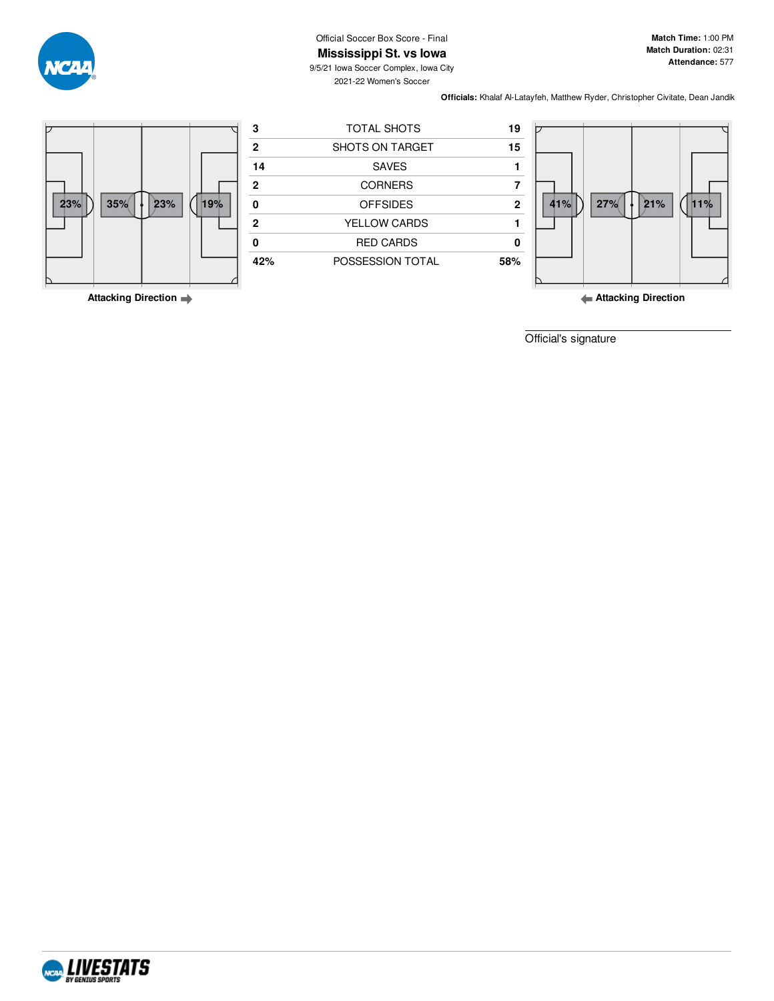Official Soccer Box Score - Final

**Match Time:** 1:00 PM **Match Duration:** 02:31 **Attendance:** 577

**Mississippi St. vs Iowa** 9/5/21 Iowa Soccer Complex, Iowa City 2021-22 Women's Soccer

**Officials:** Khalaf Al-Latayfeh, Matthew Ryder, Christopher Civitate, Dean Jandik



**Attacking Direction**

**Attacking Direction**

Official's signature

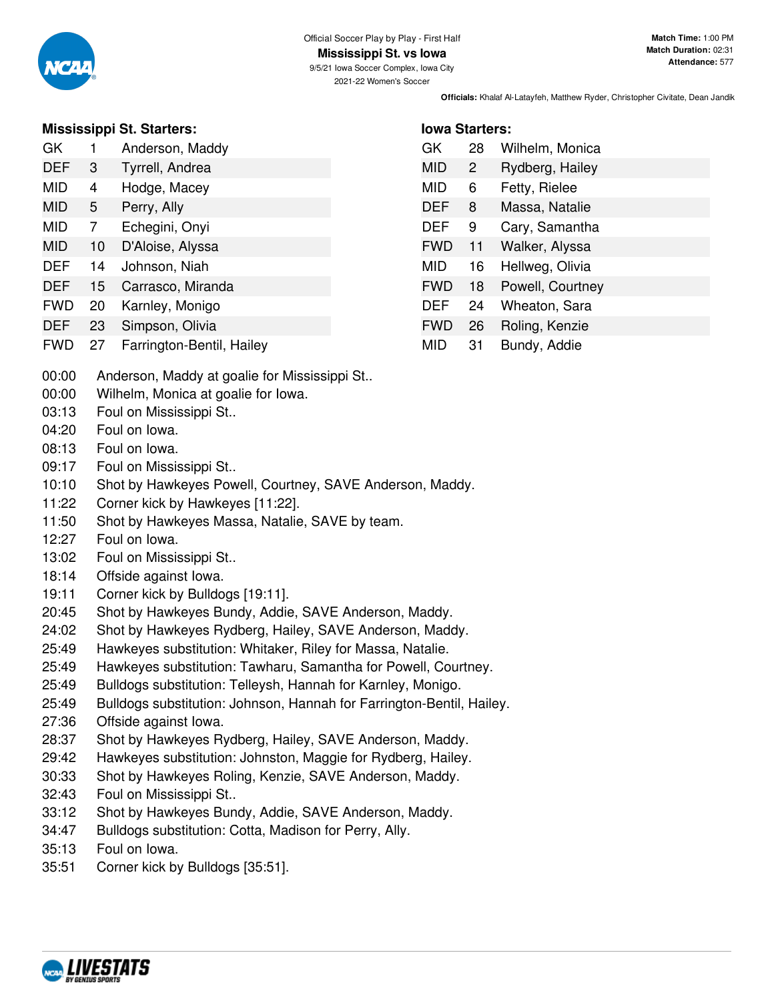

### **Mississippi St. Starters:**

| GK | Anderson, Maddy |  |
|----|-----------------|--|
|    |                 |  |

- DEF 3 Tyrrell, Andrea
- MID 4 Hodge, Macey MID 5 Perry, Ally
- MID 7 Echegini, Onyi
- MID 10 D'Aloise, Alyssa
- DEF 14 Johnson, Niah
- DEF 15 Carrasco, Miranda
- FWD 20 Karnley, Monigo
- DEF 23 Simpson, Olivia
- 
- FWD 27 Farrington-Bentil, Hailey
- **Iowa Starters:** GK 28 Wilhelm, Monica
- MID 2 Rydberg, Hailey MID 6 Fetty, Rielee DEF 8 Massa, Natalie DEF 9 Cary, Samantha FWD 11 Walker, Alyssa MID 16 Hellweg, Olivia FWD 18 Powell, Courtney DEF 24 Wheaton, Sara FWD 26 Roling, Kenzie MID 31 Bundy, Addie

- 00:00 Anderson, Maddy at goalie for Mississippi St..
- 00:00 Wilhelm, Monica at goalie for Iowa.
- 03:13 Foul on Mississippi St..
- 04:20 Foul on Iowa.
- 08:13 Foul on Iowa.
- 09:17 Foul on Mississippi St..
- 10:10 Shot by Hawkeyes Powell, Courtney, SAVE Anderson, Maddy.
- 11:22 Corner kick by Hawkeyes [11:22].
- 11:50 Shot by Hawkeyes Massa, Natalie, SAVE by team.
- 12:27 Foul on Iowa.
- 13:02 Foul on Mississippi St..
- 18:14 Offside against Iowa.
- 19:11 Corner kick by Bulldogs [19:11].
- 20:45 Shot by Hawkeyes Bundy, Addie, SAVE Anderson, Maddy.
- 24:02 Shot by Hawkeyes Rydberg, Hailey, SAVE Anderson, Maddy.
- 25:49 Hawkeyes substitution: Whitaker, Riley for Massa, Natalie.
- 25:49 Hawkeyes substitution: Tawharu, Samantha for Powell, Courtney.
- 25:49 Bulldogs substitution: Telleysh, Hannah for Karnley, Monigo.
- 25:49 Bulldogs substitution: Johnson, Hannah for Farrington-Bentil, Hailey.
- 27:36 Offside against Iowa.
- 28:37 Shot by Hawkeyes Rydberg, Hailey, SAVE Anderson, Maddy.
- 29:42 Hawkeyes substitution: Johnston, Maggie for Rydberg, Hailey.
- 30:33 Shot by Hawkeyes Roling, Kenzie, SAVE Anderson, Maddy.
- 32:43 Foul on Mississippi St..
- 33:12 Shot by Hawkeyes Bundy, Addie, SAVE Anderson, Maddy.
- 34:47 Bulldogs substitution: Cotta, Madison for Perry, Ally.
- 35:13 Foul on Iowa.
- 35:51 Corner kick by Bulldogs [35:51].

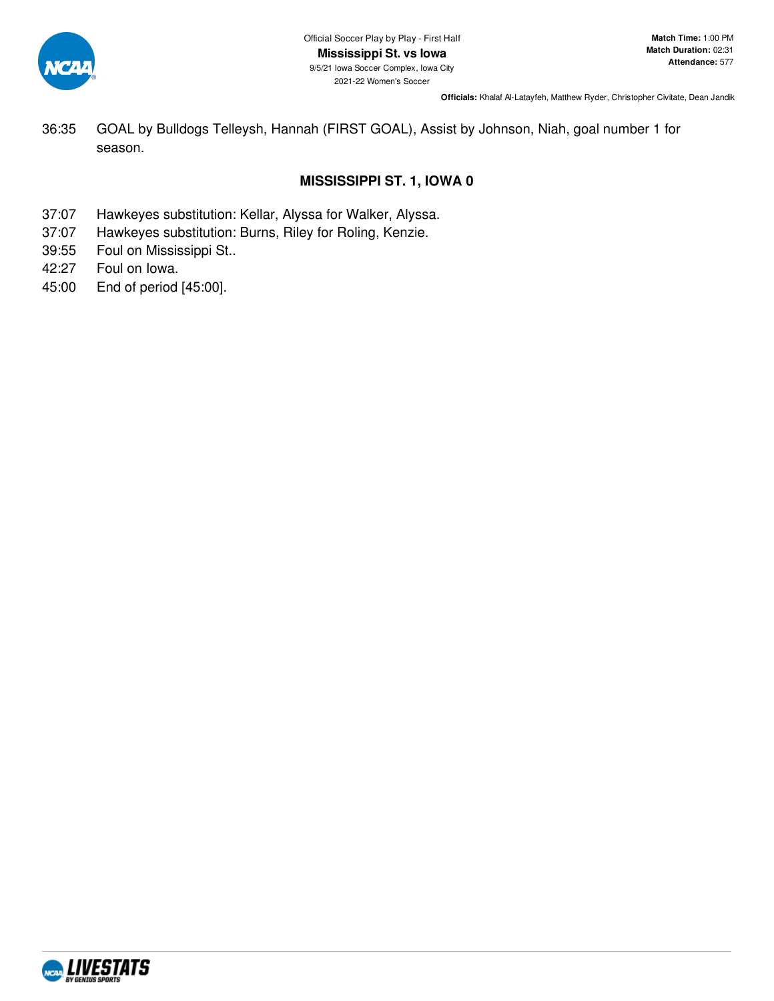

36:35 GOAL by Bulldogs Telleysh, Hannah (FIRST GOAL), Assist by Johnson, Niah, goal number 1 for season.

# **MISSISSIPPI ST. 1, IOWA 0**

- 37:07 Hawkeyes substitution: Kellar, Alyssa for Walker, Alyssa.
- 37:07 Hawkeyes substitution: Burns, Riley for Roling, Kenzie.
- 39:55 Foul on Mississippi St..
- 42:27 Foul on Iowa.
- 45:00 End of period [45:00].

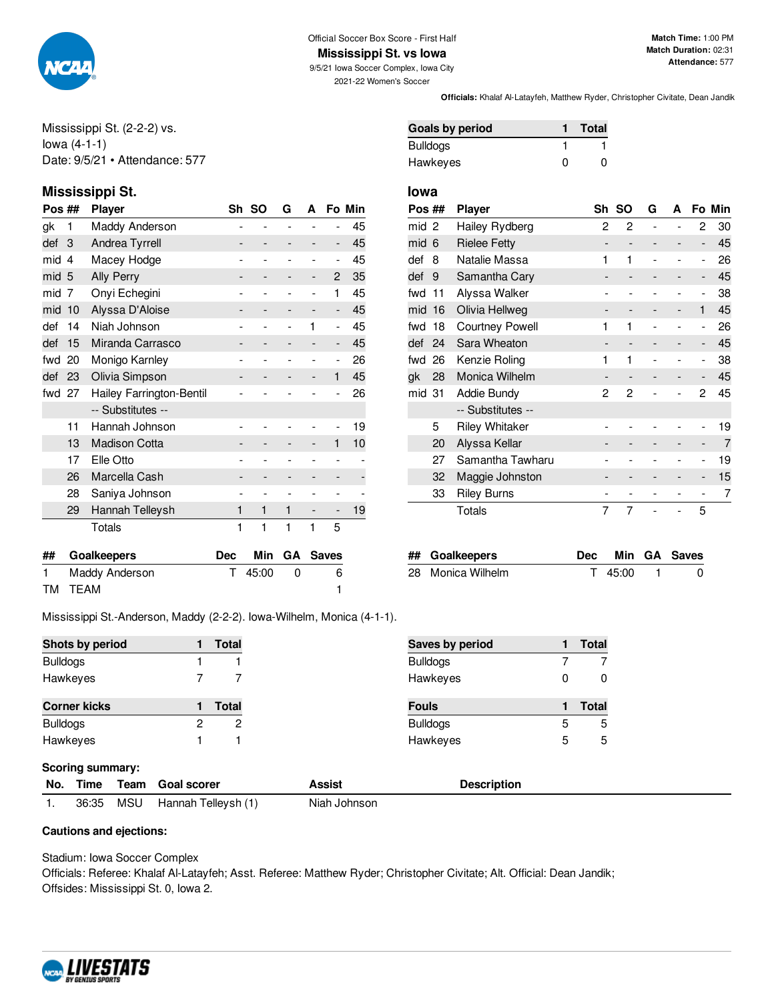

**Mississippi St. vs Iowa**

9/5/21 Iowa Soccer Complex, Iowa City 2021-22 Women's Soccer

**Match Time:** 1:00 PM **Match Duration:** 02:31 **Attendance:** 577

Mississippi St. (2-2-2) vs. Iowa (4-1-1) Date: 9/5/21 • Attendance: 577

# **Mississippi St. Iowa**

| Pos ## |                      | Player                   | Sh | -SO | G | A              |                          | Fo Min |
|--------|----------------------|--------------------------|----|-----|---|----------------|--------------------------|--------|
| gk     | 1                    | Maddy Anderson           |    |     |   |                |                          | 45     |
| def    | 3                    | Andrea Tyrrell           |    |     |   |                | $\overline{\phantom{m}}$ | 45     |
| mid    | 4                    | Macey Hodge              |    |     |   |                | ۰                        | 45     |
| mid 5  |                      | <b>Ally Perry</b>        |    |     |   | -              | $\overline{c}$           | 35     |
| mid    | 7                    | Onyi Echegini            |    |     |   | $\overline{a}$ | 1                        | 45     |
| mid    | 10                   | Alyssa D'Aloise          |    |     |   |                | -                        | 45     |
| def    | 14                   | Niah Johnson             |    |     |   | 1              | ۰                        | 45     |
| def    | 15                   | Miranda Carrasco         |    |     |   |                | -                        | 45     |
| fwd    | Monigo Karnley<br>20 |                          |    |     |   |                | $\overline{a}$           | 26     |
| def    | 23                   | Olivia Simpson           |    |     |   |                | 1                        | 45     |
| fwd    | 27                   | Hailey Farrington-Bentil |    |     |   |                |                          | 26     |
|        |                      | -- Substitutes --        |    |     |   |                |                          |        |
|        | 11                   | Hannah Johnson           |    |     |   |                |                          | 19     |
|        | 13                   | <b>Madison Cotta</b>     |    |     |   |                | 1                        | 10     |
|        | 17                   | Elle Otto                |    |     |   |                |                          |        |
|        | 26                   | Marcella Cash            |    |     |   |                |                          |        |
|        | 28                   | Saniya Johnson           |    |     |   |                |                          |        |
|        | 29                   | Hannah Telleysh          | 1  | 1   | 1 |                | -                        | 19     |
|        |                      | Totals                   | 1  | 1   | 1 | 1              | 5                        |        |
|        |                      |                          |    |     |   |                |                          |        |

| Pos ## |     | <b>Player</b>          | Sh | <b>SO</b> | G | А |                          | Fo Min |
|--------|-----|------------------------|----|-----------|---|---|--------------------------|--------|
| mid 2  |     | Hailey Rydberg         | 2  | 2         |   |   | 2                        | 30     |
| mid 6  |     | <b>Rielee Fetty</b>    |    |           |   |   | -                        | 45     |
| def    | 8   | Natalie Massa          | 1  | 1         |   |   | -                        | 26     |
| def    | 9   | Samantha Cary          |    |           |   |   | -                        | 45     |
| fwd    | 11  | Alyssa Walker          |    |           |   |   | $\overline{\phantom{0}}$ | 38     |
| mid    | 16  | Olivia Hellweg         |    |           |   |   | 1                        | 45     |
| fwd    | 18  | <b>Courtney Powell</b> | 1  | 1         |   |   | -                        | 26     |
| def    | -24 | Sara Wheaton           |    |           |   | - | -                        | 45     |
| fwd 26 |     | Kenzie Roling          |    | 1         |   |   | $\overline{a}$           | 38     |
| gk     | 28  | Monica Wilhelm         |    |           |   |   | -                        | 45     |
| mid 31 |     | Addie Bundy            | 2  | 2         |   |   | 2                        | 45     |
|        |     | -- Substitutes --      |    |           |   |   |                          |        |
|        | 5   | <b>Riley Whitaker</b>  |    |           |   |   |                          | 19     |
|        | 20  | Alyssa Kellar          |    |           |   |   | -                        | 7      |
|        | 27  | Samantha Tawharu       |    |           |   |   | -                        | 19     |
|        | 32  | Maggie Johnston        |    |           |   |   | -                        | 15     |
|        | 33  | <b>Riley Burns</b>     |    |           |   |   |                          | 7      |
|        |     | Totals                 | 7  | 7         |   |   | 5                        |        |

**Officials:** Khalaf Al-Latayfeh, Matthew Ryder, Christopher Civitate, Dean Jandik

**Goals by period 1 Total** Bulldogs 1 1 1 Hawkeyes 0 0

| ## Goalkeepers    |         | Dec Min GA Saves |
|-------------------|---------|------------------|
| 28 Monica Wilhelm | T 45:00 |                  |

Mississippi St.-Anderson, Maddy (2-2-2). Iowa-Wilhelm, Monica (4-1-1).

**## Goalkeepers Dec Min GA Saves** 1 Maddy Anderson T 45:00 0 6 TM TEAM 1

| Shots by period     |   | Total | Saves by period |   | <b>Total</b> |
|---------------------|---|-------|-----------------|---|--------------|
| <b>Bulldogs</b>     |   |       | <b>Bulldogs</b> |   |              |
| Hawkeyes            |   |       | Hawkeyes        | 0 |              |
| <b>Corner kicks</b> |   | Total | <b>Fouls</b>    |   | <b>Total</b> |
| <b>Bulldogs</b>     | 2 | 2     | <b>Bulldogs</b> | 5 |              |
| Hawkeyes            |   |       | Hawkeyes        | 5 |              |

#### **Scoring summary:**

|       |     | No. Time Team Goal scorer | Assist       | <b>Description</b> |  |  |  |  |  |  |
|-------|-----|---------------------------|--------------|--------------------|--|--|--|--|--|--|
| 36:35 | MSU | Hannah Telleysh (1)       | Niah Johnson |                    |  |  |  |  |  |  |

#### **Cautions and ejections:**

Stadium: Iowa Soccer Complex

Officials: Referee: Khalaf Al-Latayfeh; Asst. Referee: Matthew Ryder; Christopher Civitate; Alt. Official: Dean Jandik; Offsides: Mississippi St. 0, Iowa 2.

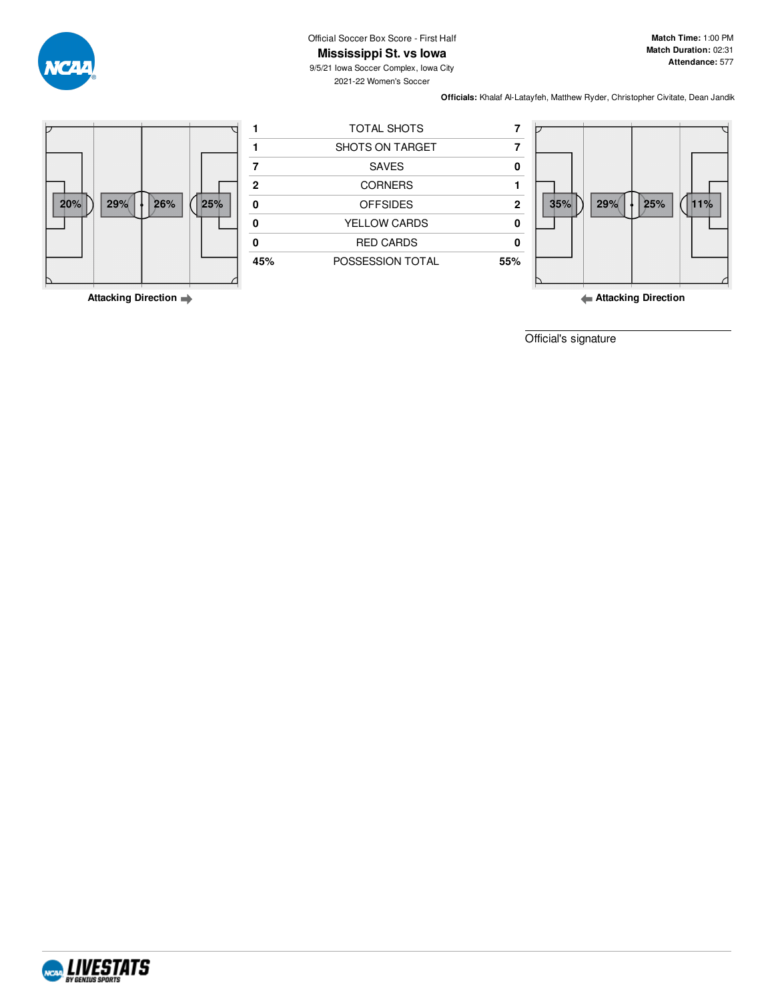Official Soccer Box Score - First Half **Mississippi St. vs Iowa**

**Match Time:** 1:00 PM **Match Duration:** 02:31 **Attendance:** 577

9/5/21 Iowa Soccer Complex, Iowa City 2021-22 Women's Soccer

**Officials:** Khalaf Al-Latayfeh, Matthew Ryder, Christopher Civitate, Dean Jandik



**Attacking Direction**

**Attacking Direction**

Official's signature



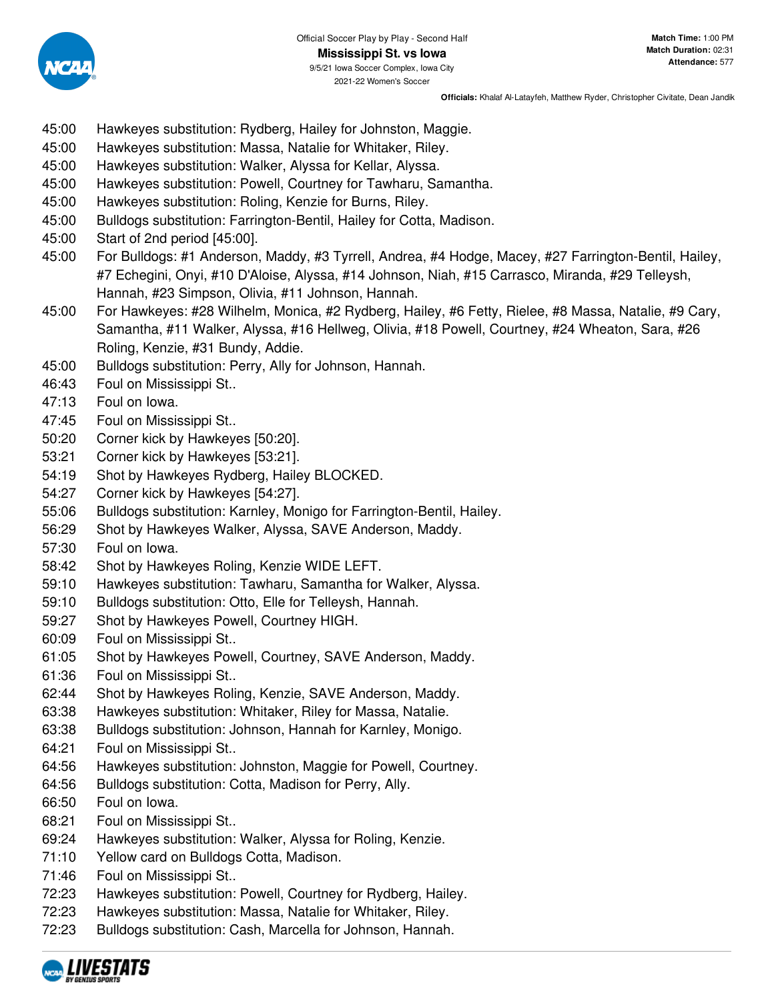

- 45:00 Hawkeyes substitution: Rydberg, Hailey for Johnston, Maggie.
- 45:00 Hawkeyes substitution: Massa, Natalie for Whitaker, Riley.
- 45:00 Hawkeyes substitution: Walker, Alyssa for Kellar, Alyssa.
- 45:00 Hawkeyes substitution: Powell, Courtney for Tawharu, Samantha.
- 45:00 Hawkeyes substitution: Roling, Kenzie for Burns, Riley.
- 45:00 Bulldogs substitution: Farrington-Bentil, Hailey for Cotta, Madison.
- 45:00 Start of 2nd period [45:00].
- 45:00 For Bulldogs: #1 Anderson, Maddy, #3 Tyrrell, Andrea, #4 Hodge, Macey, #27 Farrington-Bentil, Hailey, #7 Echegini, Onyi, #10 D'Aloise, Alyssa, #14 Johnson, Niah, #15 Carrasco, Miranda, #29 Telleysh, Hannah, #23 Simpson, Olivia, #11 Johnson, Hannah.
- 45:00 For Hawkeyes: #28 Wilhelm, Monica, #2 Rydberg, Hailey, #6 Fetty, Rielee, #8 Massa, Natalie, #9 Cary, Samantha, #11 Walker, Alyssa, #16 Hellweg, Olivia, #18 Powell, Courtney, #24 Wheaton, Sara, #26 Roling, Kenzie, #31 Bundy, Addie.
- 45:00 Bulldogs substitution: Perry, Ally for Johnson, Hannah.
- 46:43 Foul on Mississippi St..
- 47:13 Foul on Iowa.
- 47:45 Foul on Mississippi St..
- 50:20 Corner kick by Hawkeyes [50:20].
- 53:21 Corner kick by Hawkeyes [53:21].
- 54:19 Shot by Hawkeyes Rydberg, Hailey BLOCKED.
- 54:27 Corner kick by Hawkeyes [54:27].
- 55:06 Bulldogs substitution: Karnley, Monigo for Farrington-Bentil, Hailey.
- 56:29 Shot by Hawkeyes Walker, Alyssa, SAVE Anderson, Maddy.
- 57:30 Foul on Iowa.
- 58:42 Shot by Hawkeyes Roling, Kenzie WIDE LEFT.
- 59:10 Hawkeyes substitution: Tawharu, Samantha for Walker, Alyssa.
- 59:10 Bulldogs substitution: Otto, Elle for Telleysh, Hannah.
- 59:27 Shot by Hawkeyes Powell, Courtney HIGH.
- 60:09 Foul on Mississippi St..
- 61:05 Shot by Hawkeyes Powell, Courtney, SAVE Anderson, Maddy.
- 61:36 Foul on Mississippi St..
- 62:44 Shot by Hawkeyes Roling, Kenzie, SAVE Anderson, Maddy.
- 63:38 Hawkeyes substitution: Whitaker, Riley for Massa, Natalie.
- 63:38 Bulldogs substitution: Johnson, Hannah for Karnley, Monigo.
- 64:21 Foul on Mississippi St..
- 64:56 Hawkeyes substitution: Johnston, Maggie for Powell, Courtney.
- 64:56 Bulldogs substitution: Cotta, Madison for Perry, Ally.
- 66:50 Foul on Iowa.
- 68:21 Foul on Mississippi St..
- 69:24 Hawkeyes substitution: Walker, Alyssa for Roling, Kenzie.
- 71:10 Yellow card on Bulldogs Cotta, Madison.
- 71:46 Foul on Mississippi St..
- 72:23 Hawkeyes substitution: Powell, Courtney for Rydberg, Hailey.
- 72:23 Hawkeyes substitution: Massa, Natalie for Whitaker, Riley.
- 72:23 Bulldogs substitution: Cash, Marcella for Johnson, Hannah.

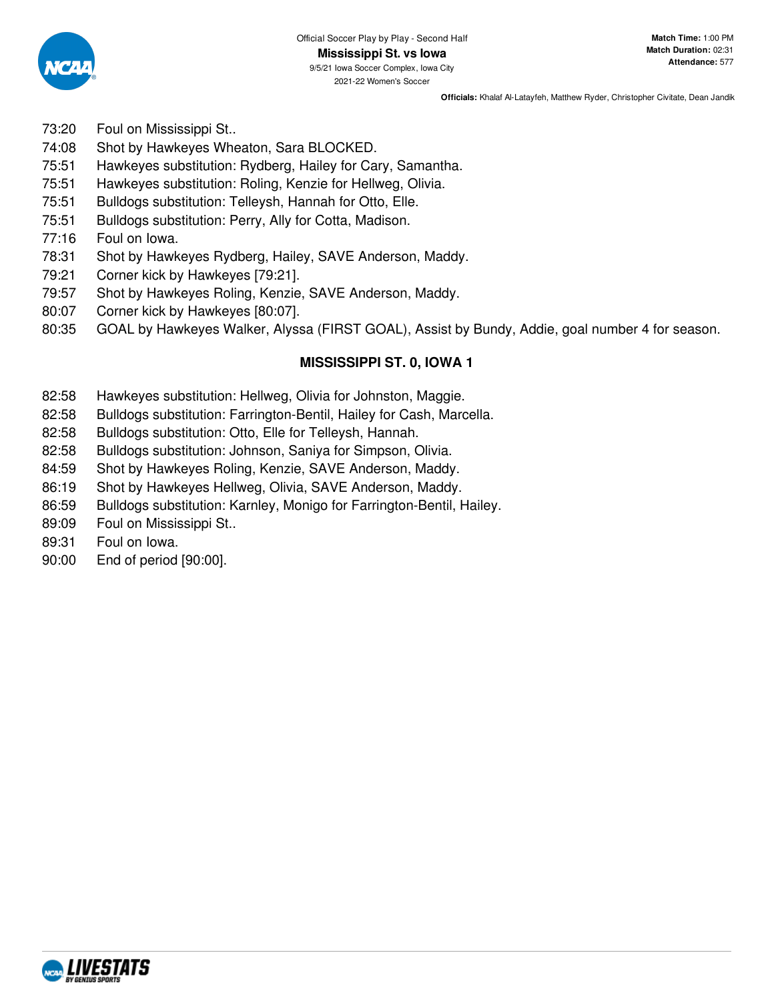

- 73:20 Foul on Mississippi St..
- 74:08 Shot by Hawkeyes Wheaton, Sara BLOCKED.
- 75:51 Hawkeyes substitution: Rydberg, Hailey for Cary, Samantha.
- 75:51 Hawkeyes substitution: Roling, Kenzie for Hellweg, Olivia.
- 75:51 Bulldogs substitution: Telleysh, Hannah for Otto, Elle.
- 75:51 Bulldogs substitution: Perry, Ally for Cotta, Madison.
- 77:16 Foul on Iowa.
- 78:31 Shot by Hawkeyes Rydberg, Hailey, SAVE Anderson, Maddy.
- 79:21 Corner kick by Hawkeyes [79:21].
- 79:57 Shot by Hawkeyes Roling, Kenzie, SAVE Anderson, Maddy.
- 80:07 Corner kick by Hawkeyes [80:07].
- 80:35 GOAL by Hawkeyes Walker, Alyssa (FIRST GOAL), Assist by Bundy, Addie, goal number 4 for season.

# **MISSISSIPPI ST. 0, IOWA 1**

- 82:58 Hawkeyes substitution: Hellweg, Olivia for Johnston, Maggie.
- 82:58 Bulldogs substitution: Farrington-Bentil, Hailey for Cash, Marcella.
- 82:58 Bulldogs substitution: Otto, Elle for Telleysh, Hannah.
- 82:58 Bulldogs substitution: Johnson, Saniya for Simpson, Olivia.
- 84:59 Shot by Hawkeyes Roling, Kenzie, SAVE Anderson, Maddy.
- 86:19 Shot by Hawkeyes Hellweg, Olivia, SAVE Anderson, Maddy.
- 86:59 Bulldogs substitution: Karnley, Monigo for Farrington-Bentil, Hailey.
- 89:09 Foul on Mississippi St..
- 89:31 Foul on Iowa.
- 90:00 End of period [90:00].

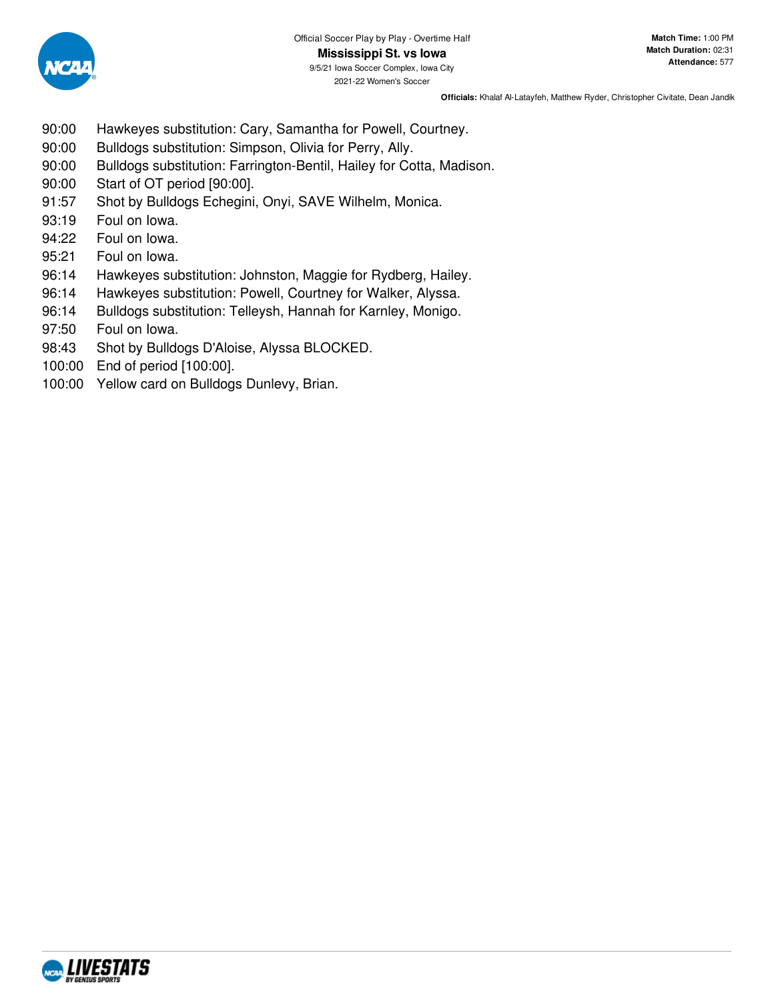

- 90:00 Hawkeyes substitution: Cary, Samantha for Powell, Courtney.
- 90:00 Bulldogs substitution: Simpson, Olivia for Perry, Ally.
- 90:00 Bulldogs substitution: Farrington-Bentil, Hailey for Cotta, Madison.
- 90:00 Start of OT period [90:00].
- 91:57 Shot by Bulldogs Echegini, Onyi, SAVE Wilhelm, Monica.
- 93:19 Foul on Iowa.
- 94:22 Foul on Iowa.
- 95:21 Foul on Iowa.
- 96:14 Hawkeyes substitution: Johnston, Maggie for Rydberg, Hailey.
- 96:14 Hawkeyes substitution: Powell, Courtney for Walker, Alyssa.
- 96:14 Bulldogs substitution: Telleysh, Hannah for Karnley, Monigo.
- 97:50 Foul on Iowa.
- 98:43 Shot by Bulldogs D'Aloise, Alyssa BLOCKED.
- 100:00 End of period [100:00].
- 100:00 Yellow card on Bulldogs Dunlevy, Brian.

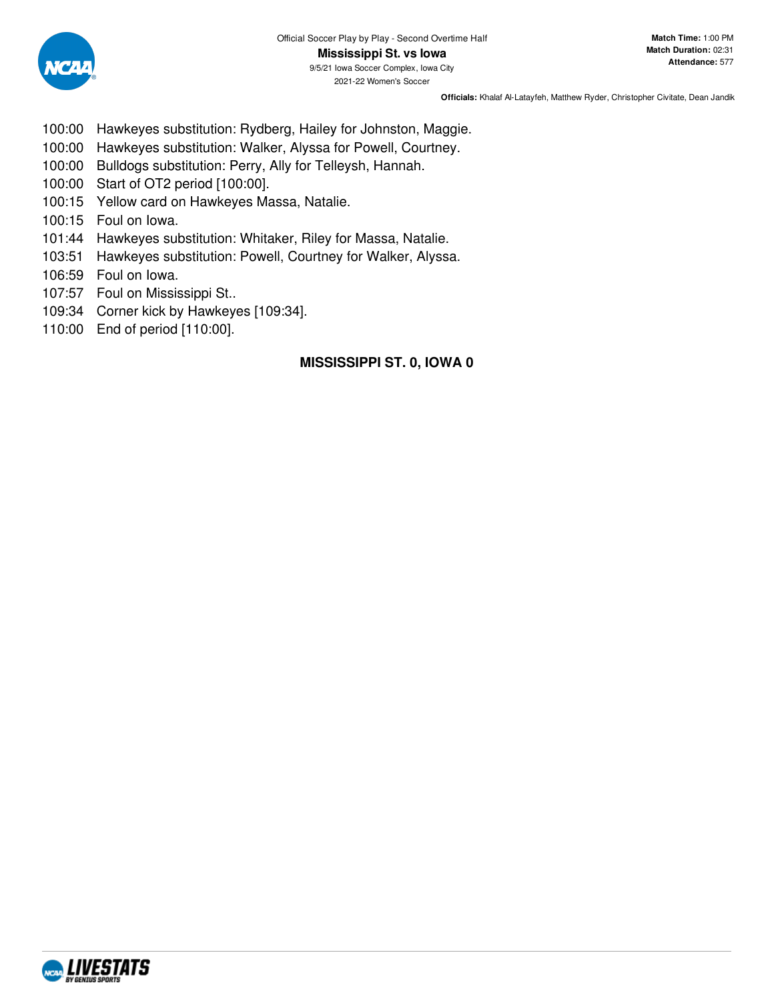

- 100:00 Hawkeyes substitution: Rydberg, Hailey for Johnston, Maggie.
- 100:00 Hawkeyes substitution: Walker, Alyssa for Powell, Courtney.
- 100:00 Bulldogs substitution: Perry, Ally for Telleysh, Hannah.
- 100:00 Start of OT2 period [100:00].
- 100:15 Yellow card on Hawkeyes Massa, Natalie.
- 100:15 Foul on Iowa.
- 101:44 Hawkeyes substitution: Whitaker, Riley for Massa, Natalie.
- 103:51 Hawkeyes substitution: Powell, Courtney for Walker, Alyssa.
- 106:59 Foul on Iowa.
- 107:57 Foul on Mississippi St..
- 109:34 Corner kick by Hawkeyes [109:34].
- 110:00 End of period [110:00].

# **MISSISSIPPI ST. 0, IOWA 0**

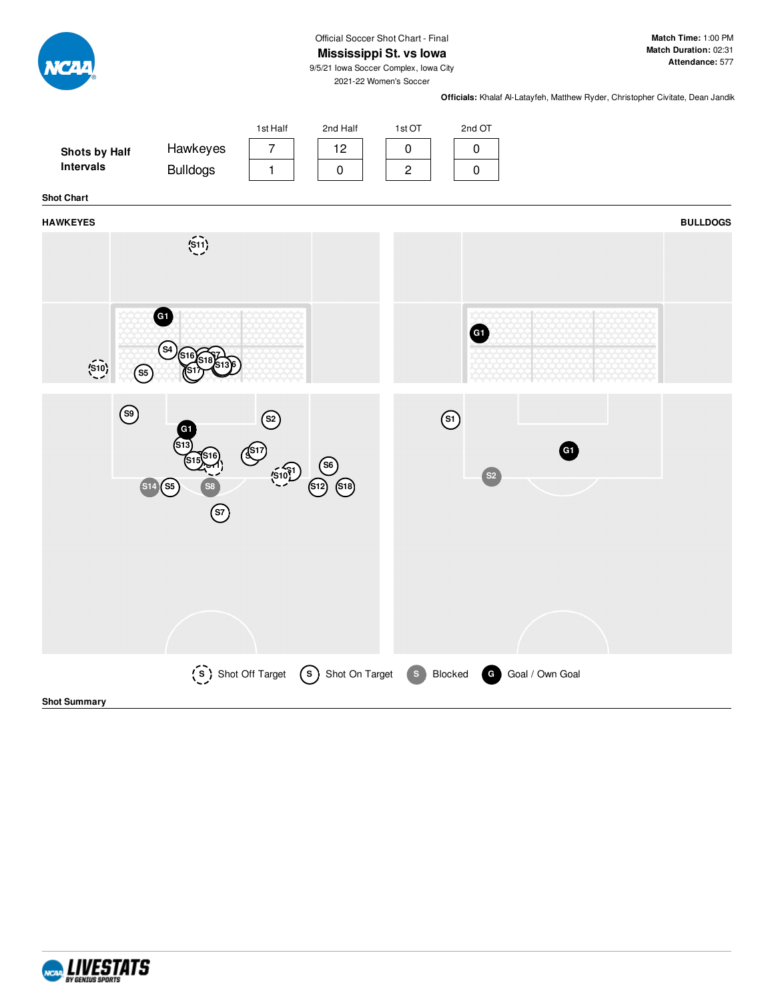Official Soccer Shot Chart - Final

**Mississippi St. vs Iowa**

**Match Time:** 1:00 PM **Match Duration:** 02:31 **Attendance:** 577

9/5/21 Iowa Soccer Complex, Iowa City 2021-22 Women's Soccer